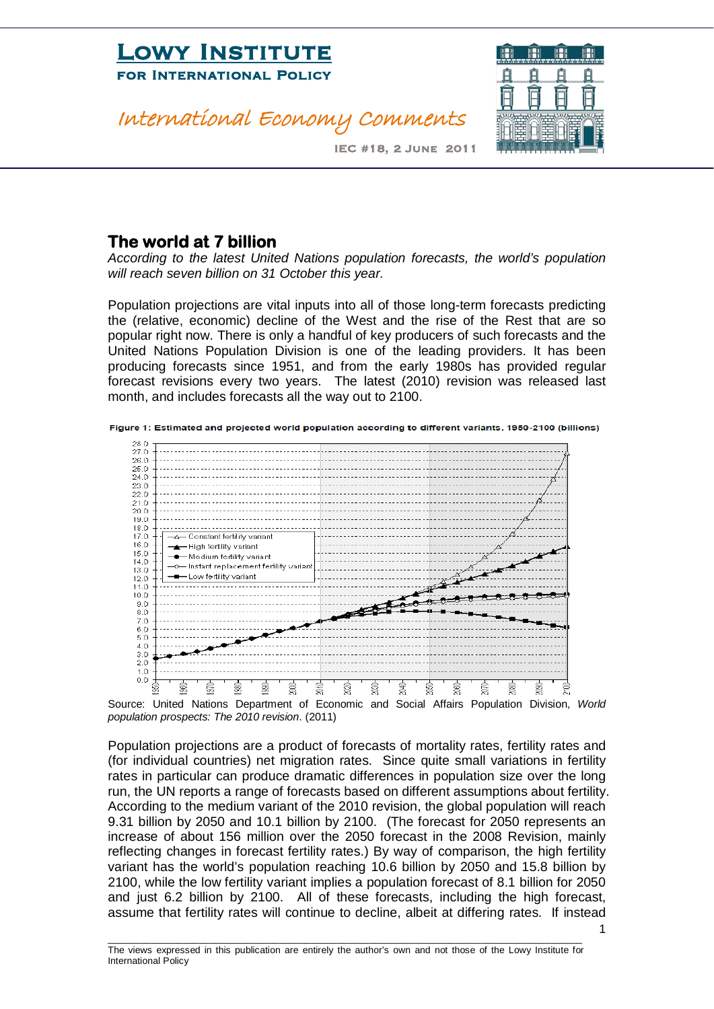### International Economy Comments



IEC #18, 2 June 2011

#### **The world at 7 billion**

*According to the latest United Nations population forecasts, the world's population will reach seven billion on 31 October this year.* 

Population projections are vital inputs into all of those long-term forecasts predicting the (relative, economic) decline of the West and the rise of the Rest that are so popular right now. There is only a handful of key producers of such forecasts and the United Nations Population Division is one of the leading providers. It has been producing forecasts since 1951, and from the early 1980s has provided regular forecast revisions every two years. The latest (2010) revision was released last month, and includes forecasts all the way out to 2100.





Source: United Nations Department of Economic and Social Affairs Population Division, *World population prospects: The 2010 revision*. (2011)

Population projections are a product of forecasts of mortality rates, fertility rates and (for individual countries) net migration rates. Since quite small variations in fertility rates in particular can produce dramatic differences in population size over the long run, the UN reports a range of forecasts based on different assumptions about fertility. According to the medium variant of the 2010 revision, the global population will reach 9.31 billion by 2050 and 10.1 billion by 2100. (The forecast for 2050 represents an increase of about 156 million over the 2050 forecast in the 2008 Revision, mainly reflecting changes in forecast fertility rates.) By way of comparison, the high fertility variant has the world's population reaching 10.6 billion by 2050 and 15.8 billion by 2100, while the low fertility variant implies a population forecast of 8.1 billion for 2050 and just 6.2 billion by 2100. All of these forecasts, including the high forecast, assume that fertility rates will continue to decline, albeit at differing rates. If instead

1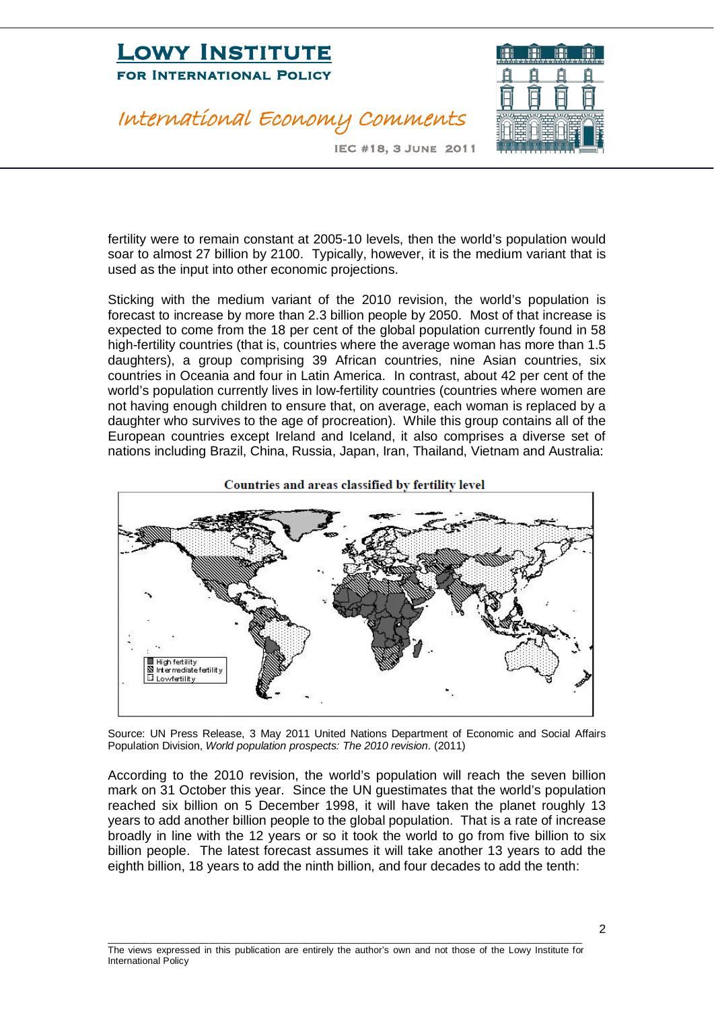#### International Economy Comments



IEC #18, 3 June 2011

fertility were to remain constant at 2005-10 levels, then the world's population would soar to almost 27 billion by 2100. Typically, however, it is the medium variant that is used as the input into other economic projections.

Sticking with the medium variant of the 2010 revision, the world's population is forecast to increase by more than 2.3 billion people by 2050. Most of that increase is expected to come from the 18 per cent of the global population currently found in 58 high-fertility countries (that is, countries where the average woman has more than 1.5 daughters), a group comprising 39 African countries, nine Asian countries, six countries in Oceania and four in Latin America. In contrast, about 42 per cent of the world's population currently lives in low-fertility countries (countries where women are not having enough children to ensure that, on average, each woman is replaced by a daughter who survives to the age of procreation). While this group contains all of the European countries except Ireland and Iceland, it also comprises a diverse set of nations including Brazil, China, Russia, Japan, Iran, Thailand, Vietnam and Australia:



Source: UN Press Release, 3 May 2011 United Nations Department of Economic and Social Affairs Population Division, *World population prospects: The 2010 revision*. (2011)

According to the 2010 revision, the world's population will reach the seven billion mark on 31 October this year. Since the UN guestimates that the world's population reached six billion on 5 December 1998, it will have taken the planet roughly 13 years to add another billion people to the global population. That is a rate of increase broadly in line with the 12 years or so it took the world to go from five billion to six billion people. The latest forecast assumes it will take another 13 years to add the eighth billion, 18 years to add the ninth billion, and four decades to add the tenth: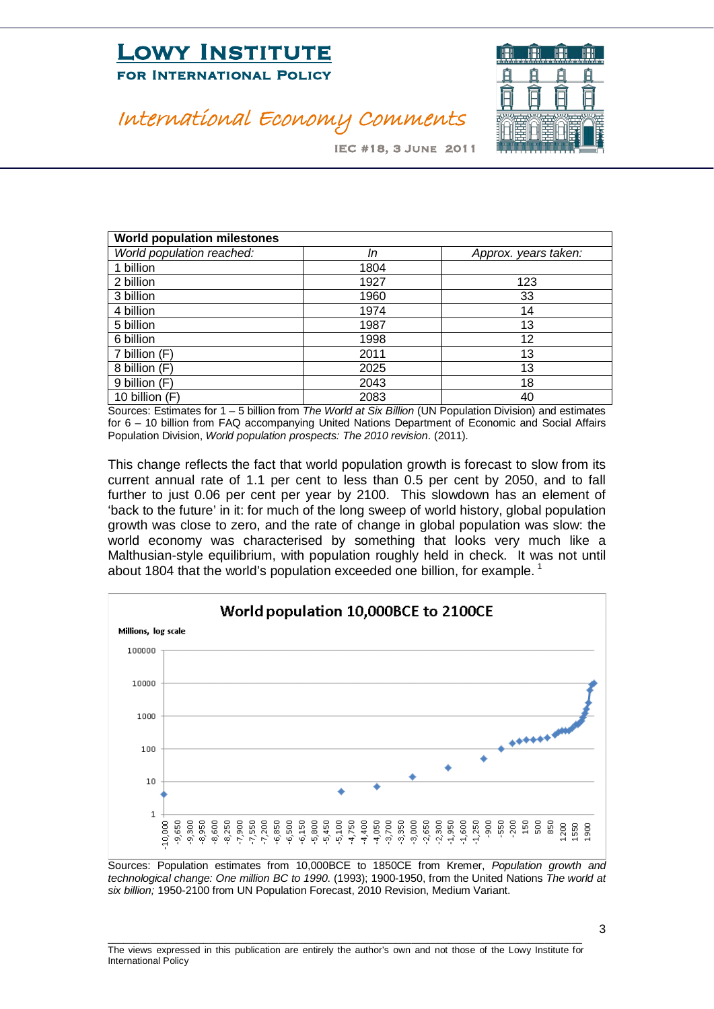

### International Economy Comments

IEC #18, 3 June 2011

| <b>World population milestones</b> |      |                      |
|------------------------------------|------|----------------------|
| World population reached:          | In   | Approx. years taken: |
| 1 billion                          | 1804 |                      |
| 2 billion                          | 1927 | 123                  |
| 3 billion                          | 1960 | 33                   |
| 4 billion                          | 1974 | 14                   |
| 5 billion                          | 1987 | 13                   |
| 6 billion                          | 1998 | 12                   |
| 7 billion (F)                      | 2011 | 13                   |
| 8 billion (F)                      | 2025 | 13                   |
| 9 billion (F)                      | 2043 | 18                   |
| 10 billion (F)                     | 2083 | 40                   |

Sources: Estimates for 1 – 5 billion from *The World at Six Billion* (UN Population Division) and estimates for 6 – 10 billion from FAQ accompanying United Nations Department of Economic and Social Affairs Population Division, *World population prospects: The 2010 revision*. (2011).

This change reflects the fact that world population growth is forecast to slow from its current annual rate of 1.1 per cent to less than 0.5 per cent by 2050, and to fall further to just 0.06 per cent per year by 2100. This slowdown has an element of 'back to the future' in it: for much of the long sweep of world history, global population growth was close to zero, and the rate of change in global population was slow: the world economy was characterised by something that looks very much like a Malthusian-style equilibrium, with population roughly held in check. It was not until about [1](#page-3-0)804 that the world's population exceeded one billion, for example.<sup>1</sup>



Sources: Population estimates from 10,000BCE to 1850CE from Kremer, *Population growth and technological change: One million BC to 1990*. (1993); 1900-1950, from the United Nations *The world at six billion;* 1950-2100 from UN Population Forecast, 2010 Revision, Medium Variant.